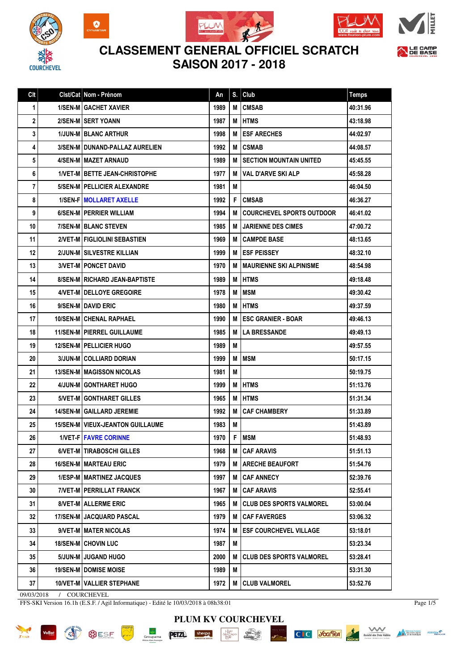









## **CLASSEMENT GENERAL OFFICIEL SCRATCH SAISON 2017 - 2018**

| Clt        | Cist/Cat   Nom - Prénom                   | An   | S. | Club                             | <b>Temps</b> |
|------------|-------------------------------------------|------|----|----------------------------------|--------------|
| 1          | <b>1/SEN-M GACHET XAVIER</b>              | 1989 | М  | <b>CMSAB</b>                     | 40:31.96     |
| 2          | 2/SEN-M SERT YOANN                        | 1987 | М  | <b>HTMS</b>                      | 43:18.98     |
| 3          | <b>1/JUN-M BLANC ARTHUR</b>               | 1998 | М  | <b>ESF ARECHES</b>               | 44:02.97     |
| 4          | 3/SEN-M DUNAND-PALLAZ AURELIEN            | 1992 | M  | <b>CSMAB</b>                     | 44:08.57     |
| 5          | 4/SEN-M MAZET ARNAUD                      | 1989 | м  | <b>SECTION MOUNTAIN UNITED</b>   | 45:45.55     |
| 6          | <b>1/VET-M BETTE JEAN-CHRISTOPHE</b>      | 1977 | M  | <b>VAL D'ARVE SKI ALP</b>        | 45:58.28     |
| 7          | 5/SEN-M   PELLICIER ALEXANDRE             | 1981 | М  |                                  | 46:04.50     |
| 8          | 1/SEN-F   MOLLARET AXELLE                 | 1992 | F  | <b>CMSAB</b>                     | 46:36.27     |
| 9          | 6/SEN-M   PERRIER WILLIAM                 | 1994 | M  | <b>COURCHEVEL SPORTS OUTDOOR</b> | 46:41.02     |
| 10         | 7/SEN-M BLANC STEVEN                      | 1985 | М  | <b>JARIENNE DES CIMES</b>        | 47:00.72     |
| 11         | 2/VET-M FIGLIOLINI SEBASTIEN              | 1969 | м  | <b>CAMPDE BASE</b>               | 48:13.65     |
| 12         | 2/JUN-M SILVESTRE KILLIAN                 | 1999 | м  | <b>ESF PEISSEY</b>               | 48:32.10     |
| 13         | <b>3/VET-M   PONCET DAVID</b>             | 1970 | M  | <b>MAURIENNE SKI ALPINISME</b>   | 48:54.98     |
| 14         | <b>8/SEN-M   RICHARD JEAN-BAPTISTE</b>    | 1989 | M  | <b>HTMS</b>                      | 49:18.48     |
| 15         | 4/VET-M   DELLOYE GREGOIRE                | 1978 | M  | <b>MSM</b>                       | 49:30.42     |
| 16         | 9/SEN-M DAVID ERIC                        | 1980 | М  | <b>HTMS</b>                      | 49:37.59     |
| 17         | <b>10/SEN-M   CHENAL RAPHAEL</b>          | 1990 | M  | <b>ESC GRANIER - BOAR</b>        | 49:46.13     |
| 18         | 11/SEN-M   PIERREL GUILLAUME              | 1985 | М  | <b>LA BRESSANDE</b>              | 49:49.13     |
| 19         | 12/SEN-M   PELLICIER HUGO                 | 1989 | М  |                                  | 49:57.55     |
| 20         | <b>3/JUN-M COLLIARD DORIAN</b>            | 1999 | М  | MSM                              | 50:17.15     |
| 21         | <b>13/SEN-M   MAGISSON NICOLAS</b>        | 1981 | М  |                                  | 50:19.75     |
| 22         | 4/JUN-M GONTHARET HUGO                    | 1999 | M  | <b>HTMS</b>                      | 51:13.76     |
| 23         | <b>5/VET-M GONTHARET GILLES</b>           | 1965 | М  | <b>HTMS</b>                      | 51:31.34     |
| 24         | 14/SEN-M   GAILLARD JEREMIE               | 1992 | M  | <b>CAF CHAMBERY</b>              | 51:33.89     |
| 25         | <b>15/SEN-M   VIEUX-JEANTON GUILLAUME</b> | 1983 | М  |                                  | 51:43.89     |
| 26         | <b>1/VET-FIFAVRE CORINNE</b>              | 1970 | F  | <b>MSM</b>                       | 51:48.93     |
| 27         | 6/VET-M   TIRABOSCHI GILLES               | 1968 | M  | <b>CAF ARAVIS</b>                | 51:51.13     |
| 28         | <b>16/SEN-M   MARTEAU ERIC</b>            | 1979 | M  | <b>ARECHE BEAUFORT</b>           | 51:54.76     |
| 29         | 1/ESP-M   MARTINEZ JACQUES                | 1997 | м  | <b>CAF ANNECY</b>                | 52:39.76     |
| 30         | 7/VET-M   PERRILLAT FRANCK                | 1967 | М  | <b>CAF ARAVIS</b>                | 52:55.41     |
| 31         | 8/VET-M ALLERME ERIC                      | 1965 | м  | <b>CLUB DES SPORTS VALMOREL</b>  | 53:00.04     |
| 32         | <b>17/SEN-M   JACQUARD PASCAL</b>         | 1979 | м  | <b>CAF FAVERGES</b>              | 53:06.32     |
| 33         | 9/VET-M   MATER NICOLAS                   | 1974 | M  | <b>ESF COURCHEVEL VILLAGE</b>    | 53:18.01     |
| 34         | <b>18/SEN-M   CHOVIN LUC</b>              | 1987 | M  |                                  | 53:23.34     |
| 35         | 5/JUN-M JUGAND HUGO                       | 2000 | M  | <b>CLUB DES SPORTS VALMOREL</b>  | 53:28.41     |
| 36         | 19/SEN-M   DOMISE MOISE                   | 1989 | M  |                                  | 53:31.30     |
| 37         | 10/VET-M   VALLIER STEPHANE               | 1972 | M  | <b>CLUB VALMOREL</b>             | 53:52.76     |
| 09/03/2018 | / $\,$ COURCHEVEL                         |      |    |                                  |              |

FFS-SKI Version 16.1h (E.S.F. / Agil Informatique) - Edité le 10/03/2018 à 08h38:01

Page 1/5



 $G$ roupa

**PETZL** 



sherpa

C C Scaffer



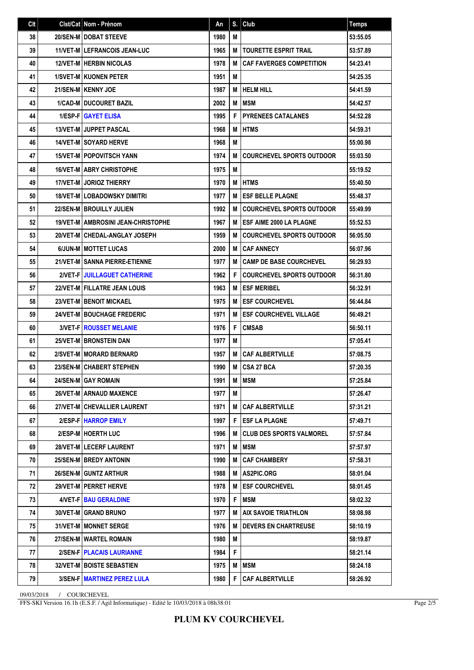| Clt | Clst/Cat Nom - Prénom                       | An   | S. | Club                             | <b>Temps</b> |
|-----|---------------------------------------------|------|----|----------------------------------|--------------|
| 38  | 20/SEN-M   DOBAT STEEVE                     | 1980 | М  |                                  | 53:55.05     |
| 39  | <b>11/VET-M LEFRANCOIS JEAN-LUC</b>         | 1965 | М  | <b>TOURETTE ESPRIT TRAIL</b>     | 53:57.89     |
| 40  | <b>12/VET-M HERBIN NICOLAS</b>              | 1978 | M  | <b>CAF FAVERGES COMPETITION</b>  | 54:23.41     |
| 41  | <b>1/SVET-MIKUONEN PETER</b>                | 1951 | M  |                                  | 54:25.35     |
| 42  | 21/SEN-M KENNY JOE                          | 1987 | М  | <b>HELM HILL</b>                 | 54:41.59     |
| 43  | <b>1/CAD-M DUCOURET BAZIL</b>               | 2002 | M  | <b>MSM</b>                       | 54:42.57     |
| 44  | <b>1/ESP-FIGAYET ELISA</b>                  | 1995 | F  | <b>PYRENEES CATALANES</b>        | 54:52.28     |
| 45  | <b>13/VET-M JUPPET PASCAL</b>               | 1968 | M  | <b>HTMS</b>                      | 54:59.31     |
| 46  | <b>14/VET-M I SOYARD HERVE</b>              | 1968 | M  |                                  | 55:00.98     |
| 47  | <b>15/VET-M POPOVITSCH YANN</b>             | 1974 | M  | <b>COURCHEVEL SPORTS OUTDOOR</b> | 55:03.50     |
| 48  | <b>16/VET-M LABRY CHRISTOPHE</b>            | 1975 | M  |                                  | 55:19.52     |
| 49  | <b>17/VET-M JORIOZ THIERRY</b>              | 1970 | M  | <b>HTMS</b>                      | 55:40.50     |
| 50  | <b>18/VET-MILOBADOWSKY DIMITRI</b>          | 1977 | M  | <b>ESF BELLE PLAGNE</b>          | 55:48.37     |
| 51  | 22/SEN-MIBROUILLY JULIEN                    | 1992 | M  | <b>COURCHEVEL SPORTS OUTDOOR</b> | 55:49.99     |
| 52  | <b>19/VET-M   AMBROSINI JEAN-CHRISTOPHE</b> | 1967 | M  | <b>ESF AIME 2000 LA PLAGNE</b>   | 55:52.53     |
| 53  | 20/VET-M I CHEDAL-ANGLAY JOSEPH             | 1959 | M  | <b>COURCHEVEL SPORTS OUTDOOR</b> | 56:05.50     |
| 54  | 6/JUN-M MOTTET LUCAS                        | 2000 | M  | <b>CAF ANNECY</b>                | 56:07.96     |
| 55  | 21/VET-M SANNA PIERRE-ETIENNE               | 1977 | M  | <b>CAMP DE BASE COURCHEVEL</b>   | 56:29.93     |
| 56  | 2/VET-FIJUILLAGUET CATHERINE                | 1962 | F  | <b>COURCHEVEL SPORTS OUTDOOR</b> | 56:31.80     |
| 57  | <b>22/VET-M   FILLATRE JEAN LOUIS</b>       | 1963 | M  | <b>ESF MERIBEL</b>               | 56:32.91     |
| 58  | <b>23/VET-M BENOIT MICKAEL</b>              | 1975 | M  | <b>ESF COURCHEVEL</b>            | 56:44.84     |
| 59  | <b>24/VET-M   BOUCHAGE FREDERIC</b>         | 1971 | M  | <b>ESF COURCHEVEL VILLAGE</b>    | 56:49.21     |
| 60  | <b>3/VET-FIROUSSET MELANIE</b>              | 1976 | F  | <b>CMSAB</b>                     | 56:50.11     |
| 61  | <b>25/VET-MIBRONSTEIN DAN</b>               | 1977 | M  |                                  | 57:05.41     |
| 62  | 2/SVET-M   MORARD BERNARD                   | 1957 | M  | <b>CAF ALBERTVILLE</b>           | 57:08.75     |
| 63  | 23/SEN-M CHABERT STEPHEN                    | 1990 | M  | <b>CSA 27 BCA</b>                | 57:20.35     |
| 64  | 24/SEN-M GAY ROMAIN                         | 1991 | M  | <b>MSM</b>                       | 57:25.84     |
| 65  | 26/VET-M   ARNAUD MAXENCE                   | 1977 | M  |                                  | 57:26.47     |
| 66  | 27/VET-M CHEVALLIER LAURENT                 | 1971 | М  | <b>CAF ALBERTVILLE</b>           | 57:31.21     |
| 67  | 2/ESP-FIHARROP EMILY                        | 1997 | F. | <b>ESF LA PLAGNE</b>             | 57:49.71     |
| 68  | 2/ESP-M   HOERTH LUC                        | 1996 | м  | <b>CLUB DES SPORTS VALMOREL</b>  | 57:57.84     |
| 69  | 28/VET-M LECERF LAURENT                     | 1971 | M  | <b>IMSM</b>                      | 57:57.97     |
| 70  | <b>25/SEN-MIBREDY ANTONIN</b>               | 1990 | м  | <b>CAF CHAMBERY</b>              | 57:58.31     |
| 71  | <b>26/SEN-MIGUNTZ ARTHUR</b>                | 1988 | M  | AS2PIC.ORG                       | 58:01.04     |
| 72  | 29/VET-M   PERRET HERVE                     | 1978 | M  | <b>ESF COURCHEVEL</b>            | 58:01.45     |
| 73  | 4/VET-FIBAU GERALDINE                       | 1970 | F  | <b>MSM</b>                       | 58:02.32     |
| 74  | <b>30/VET-M GRAND BRUNO</b>                 | 1977 | м  | <b>AIX SAVOIE TRIATHLON</b>      | 58:08.98     |
| 75  | <b>31/VET-M I MONNET SERGE</b>              | 1976 | M  | <b>DEVERS EN CHARTREUSE</b>      | 58:10.19     |
| 76  | 27/SEN-M WARTEL ROMAIN                      | 1980 | M  |                                  | 58:19.87     |
| 77  | 2/SEN-FIPLACAIS LAURIANNE                   | 1984 | F. |                                  | 58:21.14     |
| 78  | <b>32/VET-M   BOISTE SEBASTIEN</b>          | 1975 | M  | MSM                              | 58:24.18     |
| 79  | 3/SEN-F   MARTINEZ PEREZ LULA               | 1980 | F  | <b>CAF ALBERTVILLE</b>           | 58:26.92     |

**PLUM KV COURCHEVEL**

09/03/2018 / COURCHEVEL

FFS-SKI Version 16.1h (E.S.F. / Agil Informatique) - Edité le 10/03/2018 à 08h38:01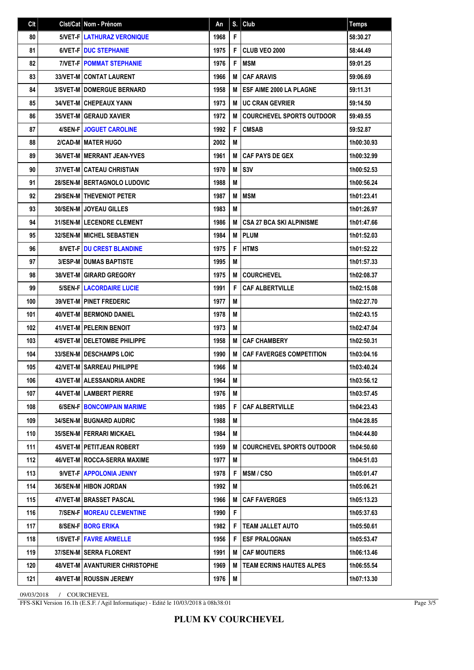| Clt | Clst/Cat Nom - Prénom               | An   | S. | Club                             | <b>Temps</b> |
|-----|-------------------------------------|------|----|----------------------------------|--------------|
| 80  | <b>5/VET-FILATHURAZ VERONIQUE</b>   | 1968 | F  |                                  | 58:30.27     |
| 81  | <b>6/VET-FIDUC STEPHANIE</b>        | 1975 | F  | CLUB VEO 2000                    | 58:44.49     |
| 82  | <b>7/VET-FIPOMMAT STEPHANIE</b>     | 1976 | F  | MSM                              | 59:01.25     |
| 83  | <b>33/VET-M CONTAT LAURENT</b>      | 1966 | M  | <b>CAF ARAVIS</b>                | 59:06.69     |
| 84  | <b>3/SVET-M   DOMERGUE BERNARD</b>  | 1958 | M  | <b>ESF AIME 2000 LA PLAGNE</b>   | 59:11.31     |
| 85  | <b>34/VET-M CHEPEAUX YANN</b>       | 1973 | M  | <b>UC CRAN GEVRIER</b>           | 59:14.50     |
| 86  | <b>35/VET-M GERAUD XAVIER</b>       | 1972 | M  | <b>COURCHEVEL SPORTS OUTDOOR</b> | 59:49.55     |
| 87  | 4/SEN-F JOGUET CAROLINE             | 1992 | F  | <b>CMSAB</b>                     | 59:52.87     |
| 88  | 2/CAD-M I MATER HUGO                | 2002 | M  |                                  | 1h00:30.93   |
| 89  | <b>36/VET-M   MERRANT JEAN-YVES</b> | 1961 | M  | <b>CAF PAYS DE GEX</b>           | 1h00:32.99   |
| 90  | 37/VET-M I CATEAU CHRISTIAN         | 1970 | M  | S <sub>3</sub> V                 | 1h00:52.53   |
| 91  | <b>28/SEN-MIBERTAGNOLO LUDOVIC</b>  | 1988 | М  |                                  | 1h00:56.24   |
| 92  | <b>29/SEN-M   THEVENIOT PETER</b>   | 1987 | M  | <b>MSM</b>                       | 1h01:23.41   |
| 93  | <b>30/SEN-M JOYEAU GILLES</b>       | 1983 | M  |                                  | 1h01:26.97   |
| 94  | 31/SEN-M LECENDRE CLEMENT           | 1986 | M  | <b>CSA 27 BCA SKI ALPINISME</b>  | 1h01:47.66   |
| 95  | <b>32/SEN-M   MICHEL SEBASTIEN</b>  | 1984 | M  | <b>PLUM</b>                      | 1h01:52.03   |
| 96  | <b>8/VET-FIDU CREST BLANDINE</b>    | 1975 | F  | <b>HTMS</b>                      | 1h01:52.22   |
| 97  | <b>3/ESP-M I DUMAS BAPTISTE</b>     | 1995 | M  |                                  | 1h01:57.33   |
| 98  | <b>38/VET-M GIRARD GREGORY</b>      | 1975 | M  | <b>COURCHEVEL</b>                | 1h02:08.37   |
| 99  | <b>5/SEN-FILACORDAIRE LUCIE</b>     | 1991 | F  | <b>CAF ALBERTVILLE</b>           | 1h02:15.08   |
| 100 | <b>39/VET-M   PINET FREDERIC</b>    | 1977 | M  |                                  | 1h02:27.70   |
| 101 | <b>40/VET-M   BERMOND DANIEL</b>    | 1978 | M  |                                  | 1h02:43.15   |
| 102 | <b>41/VET-M PELERIN BENOIT</b>      | 1973 | M  |                                  | 1h02:47.04   |
| 103 | 4/SVET-M   DELETOMBE PHILIPPE       | 1958 | M  | <b>CAF CHAMBERY</b>              | 1h02:50.31   |
| 104 | <b>33/SEN-M DESCHAMPS LOIC</b>      | 1990 | M  | <b>CAF FAVERGES COMPETITION</b>  | 1h03:04.16   |
| 105 | 42/VET-M SARREAU PHILIPPE           | 1966 | M  |                                  | 1h03:40.24   |
| 106 | 43/VET-M   ALESSANDRIA ANDRE        | 1964 | M  |                                  | 1h03:56.12   |
| 107 | 44/VET-M   LAMBERT PIERRE           | 1976 | M  |                                  | 1h03:57.45   |
| 108 | 6/SEN-F   BONCOMPAIN MARIME         | 1985 | F  | <b>CAF ALBERTVILLE</b>           | 1h04:23.43   |
| 109 | <b>34/SEN-MIBUGNARD AUDRIC</b>      | 1988 | M  |                                  | 1h04:28.85   |
| 110 | 35/SEN-M   FERRARI MICKAEL          | 1984 | M  |                                  | 1h04:44.80   |
| 111 | 45/VET-M   PETITJEAN ROBERT         | 1959 | M  | <b>COURCHEVEL SPORTS OUTDOOR</b> | 1h04:50.60   |
| 112 | 46/VET-M   ROCCA-SERRA MAXIME       | 1977 | M  |                                  | 1h04:51.03   |
| 113 | 9/VET-F   APPOLONIA JENNY           | 1978 | F  | MSM/CSO                          | 1h05:01.47   |
| 114 | 36/SEN-M   HIBON JORDAN             | 1992 | M  |                                  | 1h05:06.21   |
| 115 | 47/VET-M   BRASSET PASCAL           | 1966 | M  | <b>CAF FAVERGES</b>              | 1h05:13.23   |
| 116 | <b>7/SEN-F   MOREAU CLEMENTINE</b>  | 1990 | F  |                                  | 1h05:37.63   |
| 117 | 8/SEN-F BORG ERIKA                  | 1982 | F  | <b>TEAM JALLET AUTO</b>          | 1h05:50.61   |
| 118 | <b>1/SVET-F   FAVRE ARMELLE</b>     | 1956 | F  | <b>ESF PRALOGNAN</b>             | 1h05:53.47   |
| 119 | 37/SEN-M SERRA FLORENT              | 1991 | M  | <b>CAF MOUTIERS</b>              | 1h06:13.46   |
| 120 | 48/VET-M   AVANTURIER CHRISTOPHE    | 1969 | M  | <b>TEAM ECRINS HAUTES ALPES</b>  | 1h06:55.54   |
| 121 | <b>49/VET-M   ROUSSIN JEREMY</b>    | 1976 | M  |                                  | 1h07:13.30   |

09/03/2018 / COURCHEVEL

FFS-SKI Version 16.1h (E.S.F. / Agil Informatique) - Edité le 10/03/2018 à 08h38:01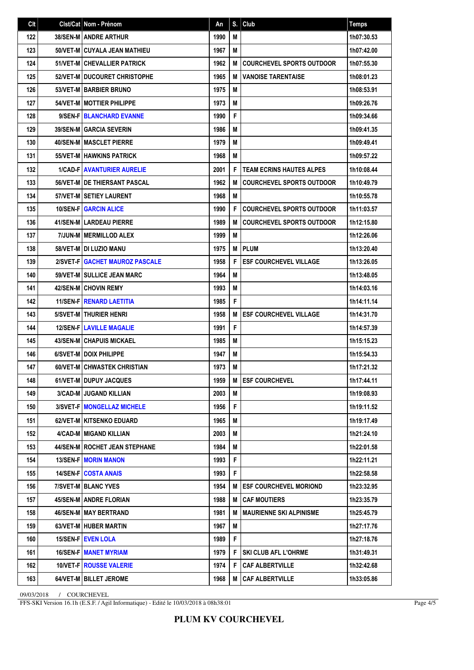| Clt | Clst/Cat Nom - Prénom                 | An   | S. | Club                             | <b>Temps</b> |
|-----|---------------------------------------|------|----|----------------------------------|--------------|
| 122 | <b>38/SEN-MI ANDRE ARTHUR</b>         | 1990 | М  |                                  | 1h07:30.53   |
| 123 | 50/VET-M CUYALA JEAN MATHIEU          | 1967 | M  |                                  | 1h07:42.00   |
| 124 | 51/VET-M CHEVALLIER PATRICK           | 1962 | M  | <b>COURCHEVEL SPORTS OUTDOOR</b> | 1h07:55.30   |
| 125 | 52/VET-M DUCOURET CHRISTOPHE          | 1965 | M  | <b>VANOISE TARENTAISE</b>        | 1h08:01.23   |
| 126 | 53/VET-M BARBIER BRUNO                | 1975 | M  |                                  | 1h08:53.91   |
| 127 | <b>54/VET-M   MOTTIER PHILIPPE</b>    | 1973 | М  |                                  | 1h09:26.76   |
| 128 | 9/SEN-FIBLANCHARD EVANNE              | 1990 | F  |                                  | 1h09:34.66   |
| 129 | <b>39/SEN-M GARCIA SEVERIN</b>        | 1986 | M  |                                  | 1h09:41.35   |
| 130 | <b>40/SEN-M   MASCLET PIERRE</b>      | 1979 | М  |                                  | 1h09:49.41   |
| 131 | <b>55/VET-M HAWKINS PATRICK</b>       | 1968 | М  |                                  | 1h09:57.22   |
| 132 | <b>1/CAD-FIAVANTURIER AURELIE</b>     | 2001 | F  | <b>TEAM ECRINS HAUTES ALPES</b>  | 1h10:08.44   |
| 133 | <b>56/VET-M I DE THIERSANT PASCAL</b> | 1962 | M  | <b>COURCHEVEL SPORTS OUTDOOR</b> | 1h10:49.79   |
| 134 | 57/VET-M SETIEY LAURENT               | 1968 | M  |                                  | 1h10:55.78   |
| 135 | <b>10/SEN-FIGARCIN ALICE</b>          | 1990 | F  | <b>COURCHEVEL SPORTS OUTDOOR</b> | 1h11:03.57   |
| 136 | 41/SEN-M LARDEAU PIERRE               | 1989 | M  | <b>COURCHEVEL SPORTS OUTDOOR</b> | 1h12:15.80   |
| 137 | 7/JUN-M   MERMILLOD ALEX              | 1999 | M  |                                  | 1h12:26.06   |
| 138 | 58/VET-M DI LUZIO MANU                | 1975 | M  | <b>PLUM</b>                      | 1h13:20.40   |
| 139 | 2/SVET-F GACHET MAUROZ PASCALE        | 1958 | F  | <b>ESF COURCHEVEL VILLAGE</b>    | 1h13:26.05   |
| 140 | <b>59/VET-M SULLICE JEAN MARC</b>     | 1964 | М  |                                  | 1h13:48.05   |
| 141 | <b>42/SEN-MICHOVIN REMY</b>           | 1993 | M  |                                  | 1h14:03.16   |
| 142 | <b>11/SEN-FIRENARD LAETITIA</b>       | 1985 | F  |                                  | 1h14:11.14   |
| 143 | 5/SVET-M   THURIER HENRI              | 1958 | M  | <b>ESF COURCHEVEL VILLAGE</b>    | 1h14:31.70   |
| 144 | <b>12/SEN-FILAVILLE MAGALIE</b>       | 1991 | F  |                                  | 1h14:57.39   |
| 145 | <b>43/SEN-M   CHAPUIS MICKAEL</b>     | 1985 | M  |                                  | 1h15:15.23   |
| 146 | 6/SVET-M DOIX PHILIPPE                | 1947 | M  |                                  | 1h15:54.33   |
| 147 | 60/VET-M CHWASTEK CHRISTIAN           | 1973 | M  |                                  | 1h17:21.32   |
| 148 | 61/VET-M DUPUY JACQUES                | 1959 | M  | <b>ESF COURCHEVEL</b>            | 1h17:44.11   |
| 149 | 3/CAD-M JUGAND KILLIAN                | 2003 | M  |                                  | 1h19:08.93   |
| 150 | 3/SVET-F   MONGELLAZ MICHELE          | 1956 | F. |                                  | 1h19:11.52   |
| 151 | <b>62/VET-M   KITSENKO EDUARD</b>     | 1965 | M  |                                  | 1h19:17.49   |
| 152 | 4/CAD-M MIGAND KILLIAN                | 2003 | M  |                                  | 1h21:24.10   |
| 153 | 44/SEN-M   ROCHET JEAN STEPHANE       | 1984 | М  |                                  | 1h22:01.58   |
| 154 | <b>13/SEN-F MORIN MANON</b>           | 1993 | F  |                                  | 1h22:11.21   |
| 155 | <b>14/SEN-FICOSTA ANAIS</b>           | 1993 | F. |                                  | 1h22:58.58   |
| 156 | 7/SVET-M BLANC YVES                   | 1954 | M  | <b>ESF COURCHEVEL MORIOND</b>    | 1h23:32.95   |
| 157 | 45/SEN-M ANDRE FLORIAN                | 1988 | M  | <b>CAF MOUTIERS</b>              | 1h23:35.79   |
| 158 | 46/SEN-M   MAY BERTRAND               | 1981 | M  | <b>MAURIENNE SKI ALPINISME</b>   | 1h25:45.79   |
| 159 | 63/VET-M HUBER MARTIN                 | 1967 | М  |                                  | 1h27:17.76   |
| 160 | 15/SEN-F EVEN LOLA                    | 1989 | F. |                                  | 1h27:18.76   |
| 161 | <b>16/SEN-F MANET MYRIAM</b>          | 1979 | F  | <b>SKI CLUB AFL L'OHRME</b>      | 1h31:49.31   |
| 162 | <b>10/VET-FIROUSSE VALERIE</b>        | 1974 | F  | <b>CAF ALBERTVILLE</b>           | 1h32:42.68   |
| 163 | 64/VET-M   BILLET JEROME              | 1968 | M  | <b>CAF ALBERTVILLE</b>           | 1h33:05.86   |

09/03/2018 / COURCHEVEL

FFS-SKI Version 16.1h (E.S.F. / Agil Informatique) - Edité le 10/03/2018 à 08h38:01